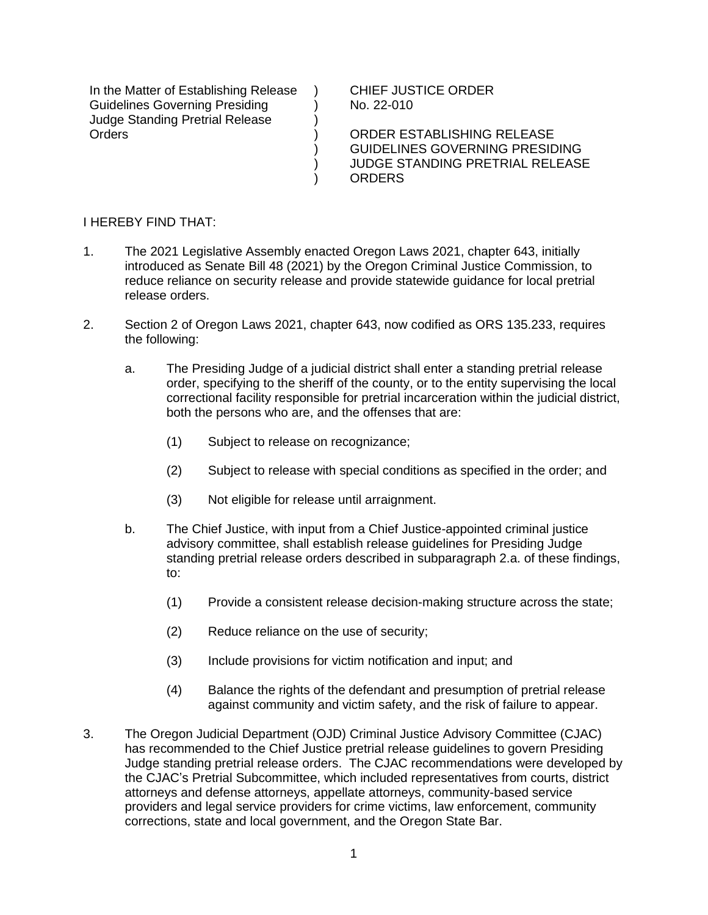In the Matter of Establishing Release Guidelines Governing Presiding Judge Standing Pretrial Release **Orders** 

CHIEF JUSTICE ORDER No. 22-010

ORDER ESTABLISHING RELEASE GUIDELINES GOVERNING PRESIDING JUDGE STANDING PRETRIAL RELEASE ORDERS

I HEREBY FIND THAT:

1. The 2021 Legislative Assembly enacted Oregon Laws 2021, chapter 643, initially introduced as Senate Bill 48 (2021) by the Oregon Criminal Justice Commission, to reduce reliance on security release and provide statewide guidance for local pretrial release orders.

 $\lambda$  $\lambda$ ) ) ) ) )

- 2. Section 2 of Oregon Laws 2021, chapter 643, now codified as ORS 135.233, requires the following:
	- a. The Presiding Judge of a judicial district shall enter a standing pretrial release order, specifying to the sheriff of the county, or to the entity supervising the local correctional facility responsible for pretrial incarceration within the judicial district, both the persons who are, and the offenses that are:
		- (1) Subject to release on recognizance;
		- (2) Subject to release with special conditions as specified in the order; and
		- (3) Not eligible for release until arraignment.
	- b. The Chief Justice, with input from a Chief Justice-appointed criminal justice advisory committee, shall establish release guidelines for Presiding Judge standing pretrial release orders described in subparagraph 2.a. of these findings, to:
		- (1) Provide a consistent release decision-making structure across the state;
		- (2) Reduce reliance on the use of security;
		- (3) Include provisions for victim notification and input; and
		- (4) Balance the rights of the defendant and presumption of pretrial release against community and victim safety, and the risk of failure to appear.
- 3. The Oregon Judicial Department (OJD) Criminal Justice Advisory Committee (CJAC) has recommended to the Chief Justice pretrial release guidelines to govern Presiding Judge standing pretrial release orders. The CJAC recommendations were developed by the CJAC's Pretrial Subcommittee, which included representatives from courts, district attorneys and defense attorneys, appellate attorneys, community-based service providers and legal service providers for crime victims, law enforcement, community corrections, state and local government, and the Oregon State Bar.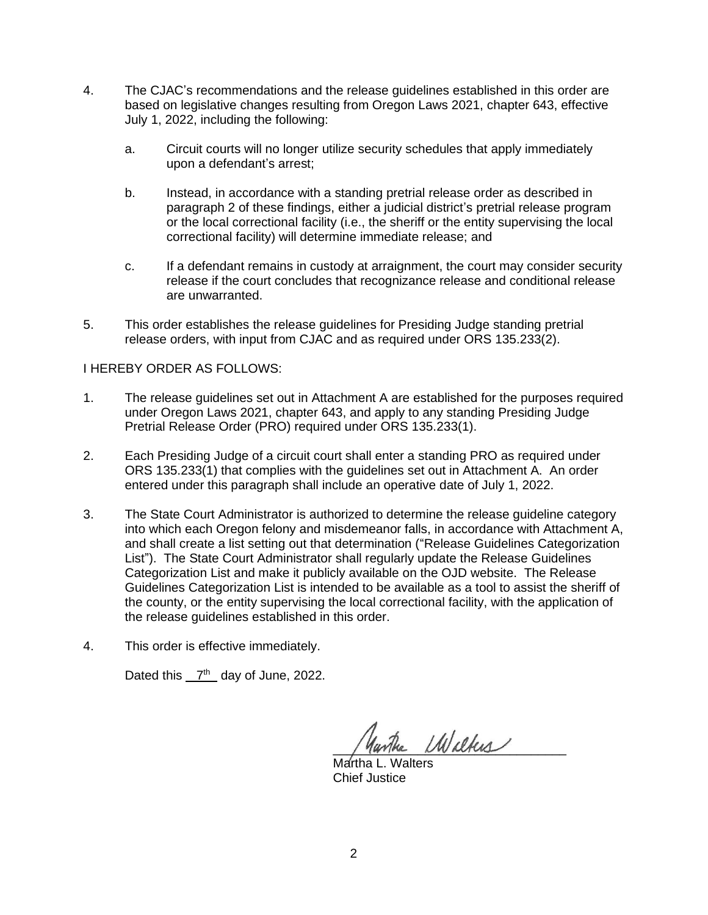- 4. The CJAC's recommendations and the release guidelines established in this order are based on legislative changes resulting from Oregon Laws 2021, chapter 643, effective July 1, 2022, including the following:
	- a. Circuit courts will no longer utilize security schedules that apply immediately upon a defendant's arrest;
	- b. Instead, in accordance with a standing pretrial release order as described in paragraph 2 of these findings, either a judicial district's pretrial release program or the local correctional facility (i.e., the sheriff or the entity supervising the local correctional facility) will determine immediate release; and
	- c. If a defendant remains in custody at arraignment, the court may consider security release if the court concludes that recognizance release and conditional release are unwarranted.
- 5. This order establishes the release guidelines for Presiding Judge standing pretrial release orders, with input from CJAC and as required under ORS 135.233(2).

## I HEREBY ORDER AS FOLLOWS:

- 1. The release guidelines set out in Attachment A are established for the purposes required under Oregon Laws 2021, chapter 643, and apply to any standing Presiding Judge Pretrial Release Order (PRO) required under ORS 135.233(1).
- 2. Each Presiding Judge of a circuit court shall enter a standing PRO as required under ORS 135.233(1) that complies with the guidelines set out in Attachment A. An order entered under this paragraph shall include an operative date of July 1, 2022.
- 3. The State Court Administrator is authorized to determine the release guideline category into which each Oregon felony and misdemeanor falls, in accordance with Attachment A, and shall create a list setting out that determination ("Release Guidelines Categorization List"). The State Court Administrator shall regularly update the Release Guidelines Categorization List and make it publicly available on the OJD website. The Release Guidelines Categorization List is intended to be available as a tool to assist the sheriff of the county, or the entity supervising the local correctional facility, with the application of the release guidelines established in this order.
- 4. This order is effective immediately.

Dated this  $7<sup>th</sup>$  day of June, 2022.

anthe Wilkes

Martha L. Walters Chief Justice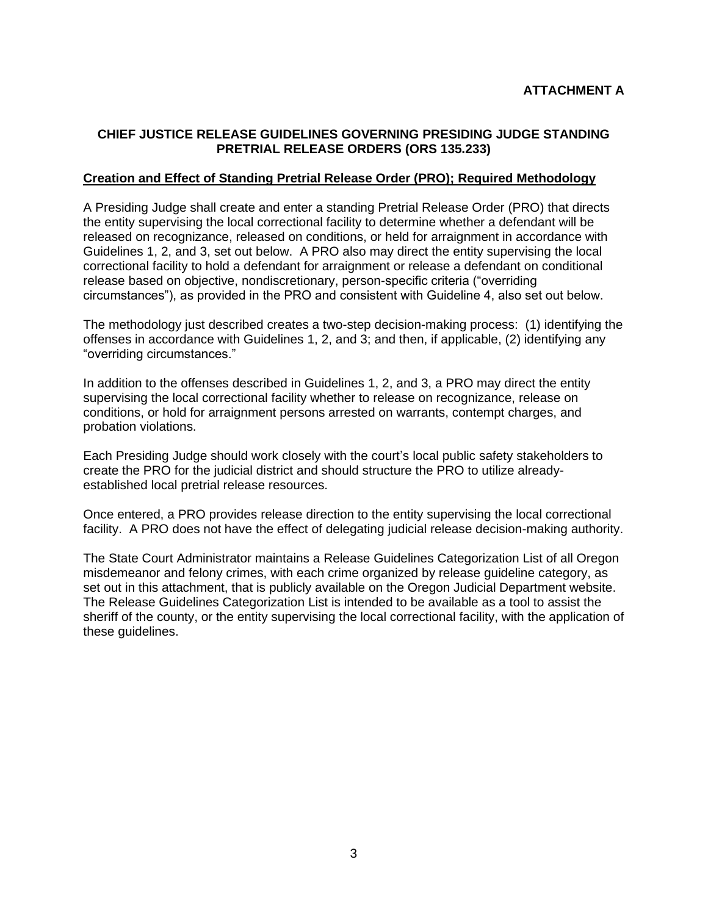# **CHIEF JUSTICE RELEASE GUIDELINES GOVERNING PRESIDING JUDGE STANDING PRETRIAL RELEASE ORDERS (ORS 135.233)**

#### **Creation and Effect of Standing Pretrial Release Order (PRO); Required Methodology**

A Presiding Judge shall create and enter a standing Pretrial Release Order (PRO) that directs the entity supervising the local correctional facility to determine whether a defendant will be released on recognizance, released on conditions, or held for arraignment in accordance with Guidelines 1, 2, and 3, set out below. A PRO also may direct the entity supervising the local correctional facility to hold a defendant for arraignment or release a defendant on conditional release based on objective, nondiscretionary, person-specific criteria ("overriding circumstances"), as provided in the PRO and consistent with Guideline 4, also set out below.

The methodology just described creates a two-step decision-making process: (1) identifying the offenses in accordance with Guidelines 1, 2, and 3; and then, if applicable, (2) identifying any "overriding circumstances."

In addition to the offenses described in Guidelines 1, 2, and 3, a PRO may direct the entity supervising the local correctional facility whether to release on recognizance, release on conditions, or hold for arraignment persons arrested on warrants, contempt charges, and probation violations.

Each Presiding Judge should work closely with the court's local public safety stakeholders to create the PRO for the judicial district and should structure the PRO to utilize alreadyestablished local pretrial release resources.

Once entered, a PRO provides release direction to the entity supervising the local correctional facility. A PRO does not have the effect of delegating judicial release decision-making authority.

The State Court Administrator maintains a Release Guidelines Categorization List of all Oregon misdemeanor and felony crimes, with each crime organized by release guideline category, as set out in this attachment, that is publicly available on the Oregon Judicial Department website. The Release Guidelines Categorization List is intended to be available as a tool to assist the sheriff of the county, or the entity supervising the local correctional facility, with the application of these guidelines.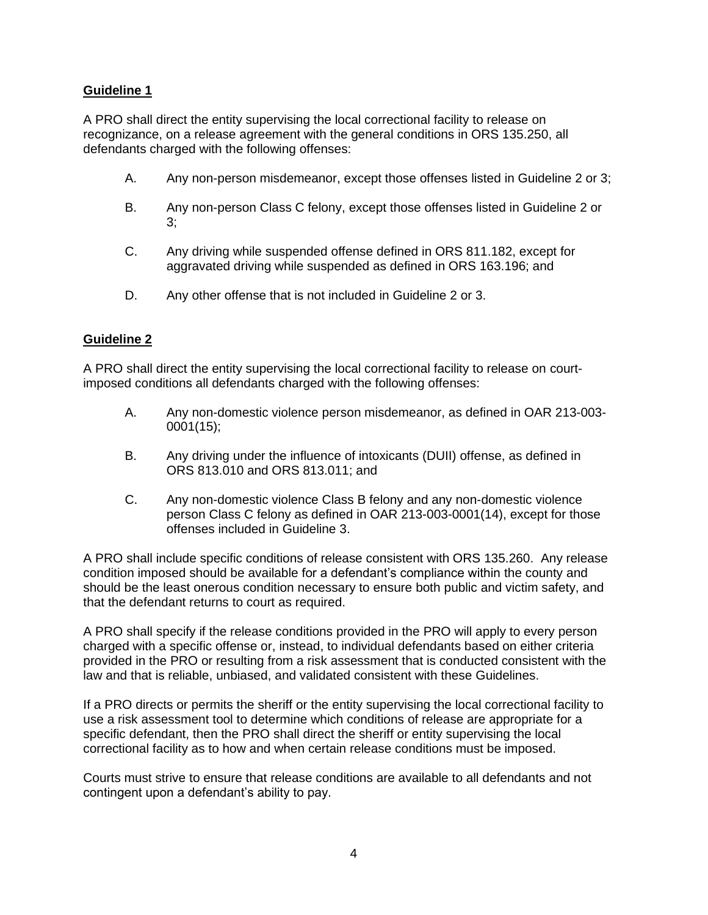# **Guideline 1**

A PRO shall direct the entity supervising the local correctional facility to release on recognizance, on a release agreement with the general conditions in ORS 135.250, all defendants charged with the following offenses:

- A. Any non-person misdemeanor, except those offenses listed in Guideline 2 or 3;
- B. Any non-person Class C felony, except those offenses listed in Guideline 2 or 3;
- C. Any driving while suspended offense defined in ORS 811.182, except for aggravated driving while suspended as defined in ORS 163.196; and
- D. Any other offense that is not included in Guideline 2 or 3.

## **Guideline 2**

A PRO shall direct the entity supervising the local correctional facility to release on courtimposed conditions all defendants charged with the following offenses:

- A. Any non-domestic violence person misdemeanor, as defined in OAR 213-003- 0001(15);
- B. Any driving under the influence of intoxicants (DUII) offense, as defined in ORS 813.010 and ORS 813.011; and
- C. Any non-domestic violence Class B felony and any non-domestic violence person Class C felony as defined in OAR 213-003-0001(14), except for those offenses included in Guideline 3.

A PRO shall include specific conditions of release consistent with ORS 135.260. Any release condition imposed should be available for a defendant's compliance within the county and should be the least onerous condition necessary to ensure both public and victim safety, and that the defendant returns to court as required.

A PRO shall specify if the release conditions provided in the PRO will apply to every person charged with a specific offense or, instead, to individual defendants based on either criteria provided in the PRO or resulting from a risk assessment that is conducted consistent with the law and that is reliable, unbiased, and validated consistent with these Guidelines.

If a PRO directs or permits the sheriff or the entity supervising the local correctional facility to use a risk assessment tool to determine which conditions of release are appropriate for a specific defendant, then the PRO shall direct the sheriff or entity supervising the local correctional facility as to how and when certain release conditions must be imposed.

Courts must strive to ensure that release conditions are available to all defendants and not contingent upon a defendant's ability to pay.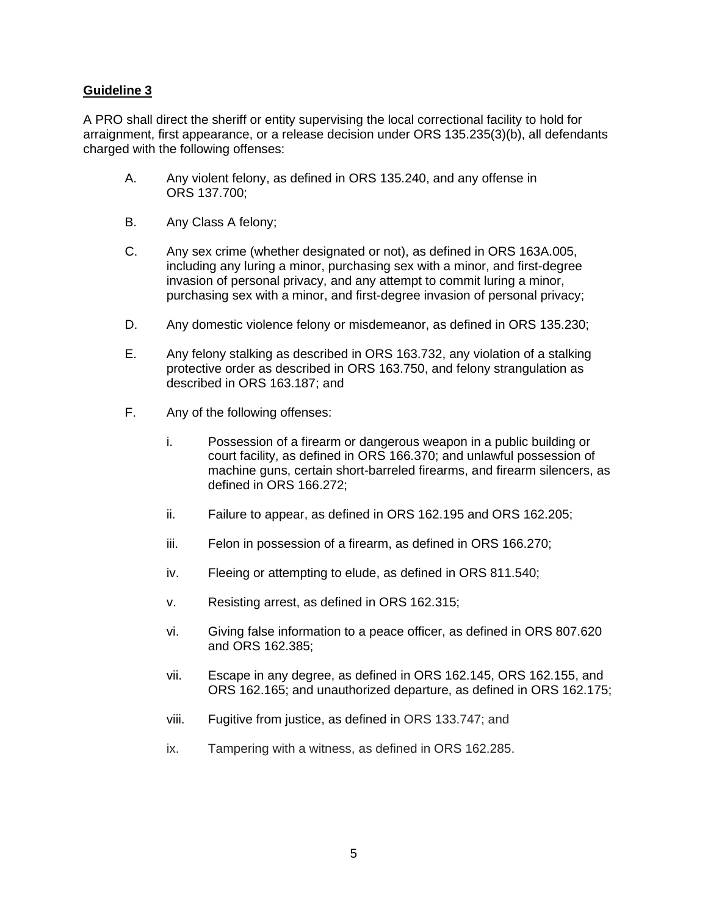#### **Guideline 3**

A PRO shall direct the sheriff or entity supervising the local correctional facility to hold for arraignment, first appearance, or a release decision under ORS 135.235(3)(b), all defendants charged with the following offenses:

- A. Any violent felony, as defined in ORS 135.240, and any offense in ORS 137.700;
- B. Any Class A felony;
- C. Any sex crime (whether designated or not), as defined in ORS 163A.005, including any luring a minor, purchasing sex with a minor, and first-degree invasion of personal privacy, and any attempt to commit luring a minor, purchasing sex with a minor, and first-degree invasion of personal privacy;
- D. Any domestic violence felony or misdemeanor, as defined in ORS 135.230;
- E. Any felony stalking as described in ORS 163.732, any violation of a stalking protective order as described in ORS 163.750, and felony strangulation as described in ORS 163.187; and
- F. Any of the following offenses:
	- i. Possession of a firearm or dangerous weapon in a public building or court facility, as defined in ORS 166.370; and unlawful possession of machine guns, certain short-barreled firearms, and firearm silencers, as defined in ORS 166.272;
	- ii. Failure to appear, as defined in ORS 162.195 and ORS 162.205;
	- iii. Felon in possession of a firearm, as defined in ORS 166.270;
	- iv. Fleeing or attempting to elude, as defined in ORS 811.540;
	- v. Resisting arrest, as defined in ORS 162.315;
	- vi. Giving false information to a peace officer, as defined in ORS 807.620 and ORS 162.385;
	- vii. Escape in any degree, as defined in ORS 162.145, ORS 162.155, and ORS 162.165; and unauthorized departure, as defined in ORS 162.175;
	- viii. Fugitive from justice, as defined in ORS 133.747; and
	- ix. Tampering with a witness, as defined in ORS 162.285.